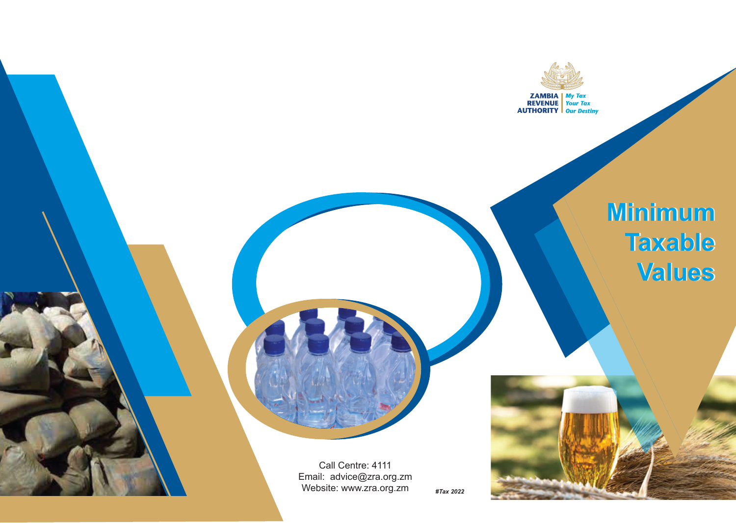

# **Minimum Minimum Taxable Taxable Values Values**

Call Centre: 4111 Email: advice@zra.org.zm Website: www.zra.org.zm *#Tax 2022*